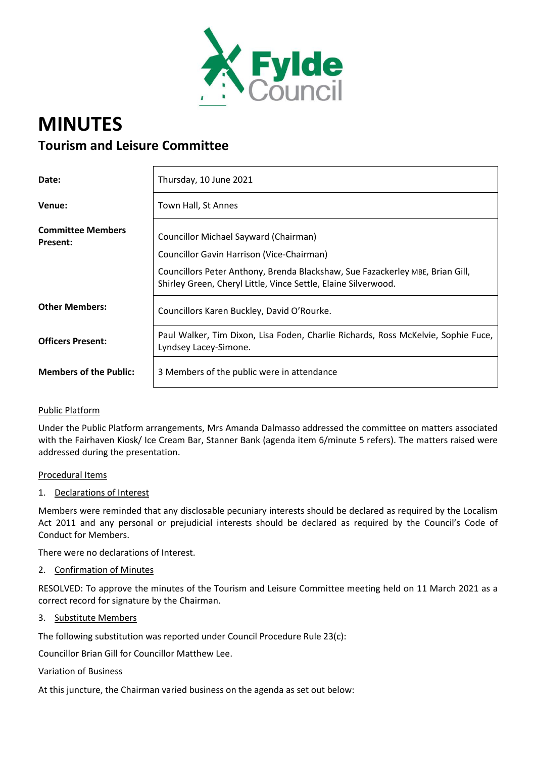

# **MINUTES Tourism and Leisure Committee**

| Date:                                       | Thursday, 10 June 2021                                                                                                                                                                                                                       |
|---------------------------------------------|----------------------------------------------------------------------------------------------------------------------------------------------------------------------------------------------------------------------------------------------|
| Venue:                                      | Town Hall, St Annes                                                                                                                                                                                                                          |
| <b>Committee Members</b><br><b>Present:</b> | Councillor Michael Sayward (Chairman)<br><b>Councillor Gavin Harrison (Vice-Chairman)</b><br>Councillors Peter Anthony, Brenda Blackshaw, Sue Fazackerley MBE, Brian Gill,<br>Shirley Green, Cheryl Little, Vince Settle, Elaine Silverwood. |
| <b>Other Members:</b>                       | Councillors Karen Buckley, David O'Rourke.                                                                                                                                                                                                   |
| <b>Officers Present:</b>                    | Paul Walker, Tim Dixon, Lisa Foden, Charlie Richards, Ross McKelvie, Sophie Fuce,<br>Lyndsey Lacey-Simone.                                                                                                                                   |
| <b>Members of the Public:</b>               | 3 Members of the public were in attendance                                                                                                                                                                                                   |

# Public Platform

Under the Public Platform arrangements, Mrs Amanda Dalmasso addressed the committee on matters associated with the Fairhaven Kiosk/ Ice Cream Bar, Stanner Bank (agenda item 6/minute 5 refers). The matters raised were addressed during the presentation.

#### Procedural Items

1. Declarations of Interest

Members were reminded that any disclosable pecuniary interests should be declared as required by the Localism Act 2011 and any personal or prejudicial interests should be declared as required by the Council's Code of Conduct for Members.

There were no declarations of Interest.

2. Confirmation of Minutes

RESOLVED: To approve the minutes of the Tourism and Leisure Committee meeting held on 11 March 2021 as a correct record for signature by the Chairman.

3. Substitute Members

The following substitution was reported under Council Procedure Rule 23(c):

Councillor Brian Gill for Councillor Matthew Lee.

#### Variation of Business

At this juncture, the Chairman varied business on the agenda as set out below: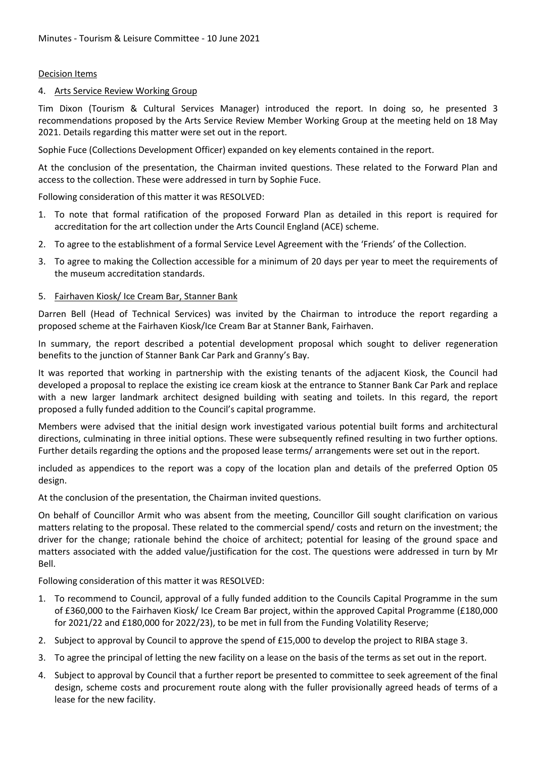## Decision Items

## 4. Arts Service Review Working Group

Tim Dixon (Tourism & Cultural Services Manager) introduced the report. In doing so, he presented 3 recommendations proposed by the Arts Service Review Member Working Group at the meeting held on 18 May 2021. Details regarding this matter were set out in the report.

Sophie Fuce (Collections Development Officer) expanded on key elements contained in the report.

At the conclusion of the presentation, the Chairman invited questions. These related to the Forward Plan and access to the collection. These were addressed in turn by Sophie Fuce.

Following consideration of this matter it was RESOLVED:

- 1. To note that formal ratification of the proposed Forward Plan as detailed in this report is required for accreditation for the art collection under the Arts Council England (ACE) scheme.
- 2. To agree to the establishment of a formal Service Level Agreement with the 'Friends' of the Collection.
- 3. To agree to making the Collection accessible for a minimum of 20 days per year to meet the requirements of the museum accreditation standards.

## 5. Fairhaven Kiosk/ Ice Cream Bar, Stanner Bank

Darren Bell (Head of Technical Services) was invited by the Chairman to introduce the report regarding a proposed scheme at the Fairhaven Kiosk/Ice Cream Bar at Stanner Bank, Fairhaven.

In summary, the report described a potential development proposal which sought to deliver regeneration benefits to the junction of Stanner Bank Car Park and Granny's Bay.

It was reported that working in partnership with the existing tenants of the adjacent Kiosk, the Council had developed a proposal to replace the existing ice cream kiosk at the entrance to Stanner Bank Car Park and replace with a new larger landmark architect designed building with seating and toilets. In this regard, the report proposed a fully funded addition to the Council's capital programme.

Members were advised that the initial design work investigated various potential built forms and architectural directions, culminating in three initial options. These were subsequently refined resulting in two further options. Further details regarding the options and the proposed lease terms/ arrangements were set out in the report.

included as appendices to the report was a copy of the location plan and details of the preferred Option 05 design.

At the conclusion of the presentation, the Chairman invited questions.

On behalf of Councillor Armit who was absent from the meeting, Councillor Gill sought clarification on various matters relating to the proposal. These related to the commercial spend/ costs and return on the investment; the driver for the change; rationale behind the choice of architect; potential for leasing of the ground space and matters associated with the added value/justification for the cost. The questions were addressed in turn by Mr Bell.

Following consideration of this matter it was RESOLVED:

- 1. To recommend to Council, approval of a fully funded addition to the Councils Capital Programme in the sum of £360,000 to the Fairhaven Kiosk/ Ice Cream Bar project, within the approved Capital Programme (£180,000 for 2021/22 and £180,000 for 2022/23), to be met in full from the Funding Volatility Reserve;
- 2. Subject to approval by Council to approve the spend of £15,000 to develop the project to RIBA stage 3.
- 3. To agree the principal of letting the new facility on a lease on the basis of the terms as set out in the report.
- 4. Subject to approval by Council that a further report be presented to committee to seek agreement of the final design, scheme costs and procurement route along with the fuller provisionally agreed heads of terms of a lease for the new facility.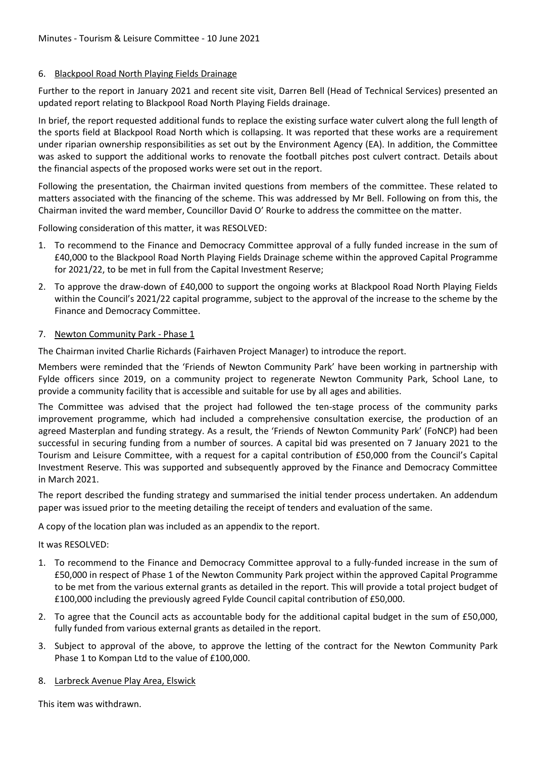# 6. Blackpool Road North Playing Fields Drainage

Further to the report in January 2021 and recent site visit, Darren Bell (Head of Technical Services) presented an updated report relating to Blackpool Road North Playing Fields drainage.

In brief, the report requested additional funds to replace the existing surface water culvert along the full length of the sports field at Blackpool Road North which is collapsing. It was reported that these works are a requirement under riparian ownership responsibilities as set out by the Environment Agency (EA). In addition, the Committee was asked to support the additional works to renovate the football pitches post culvert contract. Details about the financial aspects of the proposed works were set out in the report.

Following the presentation, the Chairman invited questions from members of the committee. These related to matters associated with the financing of the scheme. This was addressed by Mr Bell. Following on from this, the Chairman invited the ward member, Councillor David O' Rourke to address the committee on the matter.

Following consideration of this matter, it was RESOLVED:

- 1. To recommend to the Finance and Democracy Committee approval of a fully funded increase in the sum of £40,000 to the Blackpool Road North Playing Fields Drainage scheme within the approved Capital Programme for 2021/22, to be met in full from the Capital Investment Reserve;
- 2. To approve the draw-down of £40,000 to support the ongoing works at Blackpool Road North Playing Fields within the Council's 2021/22 capital programme, subject to the approval of the increase to the scheme by the Finance and Democracy Committee.

## 7. Newton Community Park - Phase 1

The Chairman invited Charlie Richards (Fairhaven Project Manager) to introduce the report.

Members were reminded that the 'Friends of Newton Community Park' have been working in partnership with Fylde officers since 2019, on a community project to regenerate Newton Community Park, School Lane, to provide a community facility that is accessible and suitable for use by all ages and abilities.

The Committee was advised that the project had followed the ten-stage process of the community parks improvement programme, which had included a comprehensive consultation exercise, the production of an agreed Masterplan and funding strategy. As a result, the 'Friends of Newton Community Park' (FoNCP) had been successful in securing funding from a number of sources. A capital bid was presented on 7 January 2021 to the Tourism and Leisure Committee, with a request for a capital contribution of £50,000 from the Council's Capital Investment Reserve. This was supported and subsequently approved by the Finance and Democracy Committee in March 2021.

The report described the funding strategy and summarised the initial tender process undertaken. An addendum paper was issued prior to the meeting detailing the receipt of tenders and evaluation of the same.

A copy of the location plan was included as an appendix to the report.

# It was RESOLVED:

- 1. To recommend to the Finance and Democracy Committee approval to a fully-funded increase in the sum of £50,000 in respect of Phase 1 of the Newton Community Park project within the approved Capital Programme to be met from the various external grants as detailed in the report. This will provide a total project budget of £100,000 including the previously agreed Fylde Council capital contribution of £50,000.
- 2. To agree that the Council acts as accountable body for the additional capital budget in the sum of £50,000, fully funded from various external grants as detailed in the report.
- 3. Subject to approval of the above, to approve the letting of the contract for the Newton Community Park Phase 1 to Kompan Ltd to the value of £100,000.

### 8. Larbreck Avenue Play Area, Elswick

This item was withdrawn.